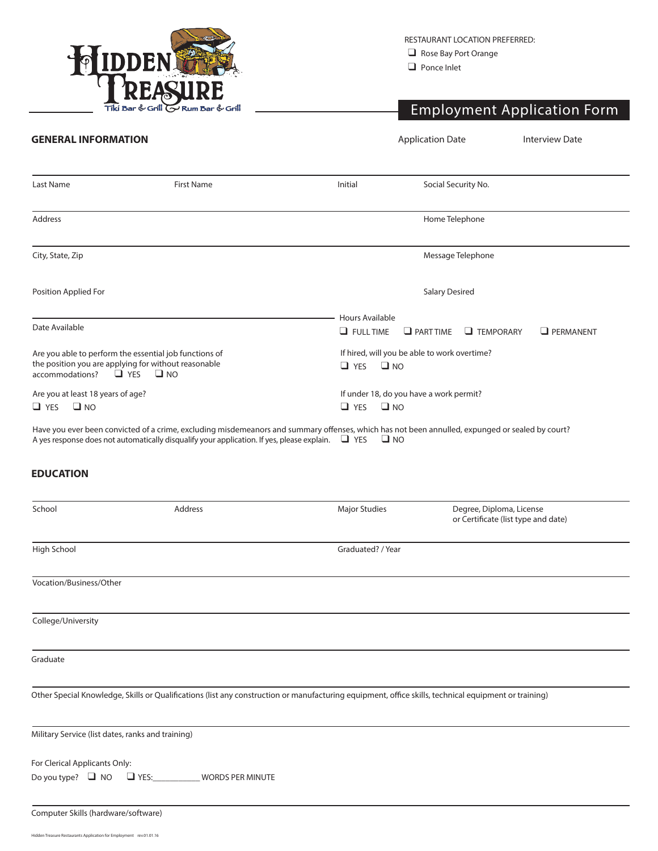

RESTAURANT LOCATION PREFERRED:

 $\Box$  Rose Bay Port Orange

 $\Box$  Ponce Inlet

## Employment Application Form

| <b>GENERAL INFORMATION</b>                                                                         |                                                                                                                                                 | <b>Application Date</b>                      |                       | <b>Interview Date</b> |                  |  |
|----------------------------------------------------------------------------------------------------|-------------------------------------------------------------------------------------------------------------------------------------------------|----------------------------------------------|-----------------------|-----------------------|------------------|--|
| Last Name                                                                                          | <b>First Name</b>                                                                                                                               | Initial                                      | Social Security No.   |                       |                  |  |
|                                                                                                    |                                                                                                                                                 |                                              |                       |                       |                  |  |
| Address                                                                                            |                                                                                                                                                 |                                              | Home Telephone        |                       |                  |  |
| City, State, Zip                                                                                   |                                                                                                                                                 |                                              | Message Telephone     |                       |                  |  |
| Position Applied For                                                                               |                                                                                                                                                 |                                              | <b>Salary Desired</b> |                       |                  |  |
|                                                                                                    |                                                                                                                                                 | Hours Available                              |                       |                       |                  |  |
| Date Available                                                                                     |                                                                                                                                                 | $\Box$ FULL TIME                             | $\Box$ PART TIME      | $\Box$ TEMPORARY      | $\Box$ PERMANENT |  |
|                                                                                                    | Are you able to perform the essential job functions of                                                                                          | If hired, will you be able to work overtime? |                       |                       |                  |  |
| the position you are applying for without reasonable<br>$\Box$ NO<br>$\Box$ YES<br>accommodations? |                                                                                                                                                 | $\square$ NO<br>$\Box$ YES                   |                       |                       |                  |  |
| Are you at least 18 years of age?                                                                  |                                                                                                                                                 | If under 18, do you have a work permit?      |                       |                       |                  |  |
| $\square$ NO<br>$\Box$ YES                                                                         |                                                                                                                                                 | $\square$ NO<br>$\Box$ YES                   |                       |                       |                  |  |
|                                                                                                    | Have you ever been convicted of a crime, excluding misdemeanors and summary offenses, which has not been annulled, expunged or sealed by court? |                                              |                       |                       |                  |  |

A yes response does not automatically disqualify your application. If yes, please explain.  $\Box$  YES  $\Box$  NO

## **EDUCATION**

| School                                                  | Address                                | <b>Major Studies</b>                                                                                                                                 | Degree, Diploma, License<br>or Certificate (list type and date) |
|---------------------------------------------------------|----------------------------------------|------------------------------------------------------------------------------------------------------------------------------------------------------|-----------------------------------------------------------------|
| High School                                             |                                        | Graduated? / Year                                                                                                                                    |                                                                 |
| Vocation/Business/Other                                 |                                        |                                                                                                                                                      |                                                                 |
| College/University                                      |                                        |                                                                                                                                                      |                                                                 |
| Graduate                                                |                                        |                                                                                                                                                      |                                                                 |
|                                                         |                                        | Other Special Knowledge, Skills or Qualifications (list any construction or manufacturing equipment, office skills, technical equipment or training) |                                                                 |
| Military Service (list dates, ranks and training)       |                                        |                                                                                                                                                      |                                                                 |
| For Clerical Applicants Only:<br>Do you type? $\Box$ NO | $\Box$ YES:<br><b>WORDS PER MINUTE</b> |                                                                                                                                                      |                                                                 |
| Computer Skills (hardware/software)                     |                                        |                                                                                                                                                      |                                                                 |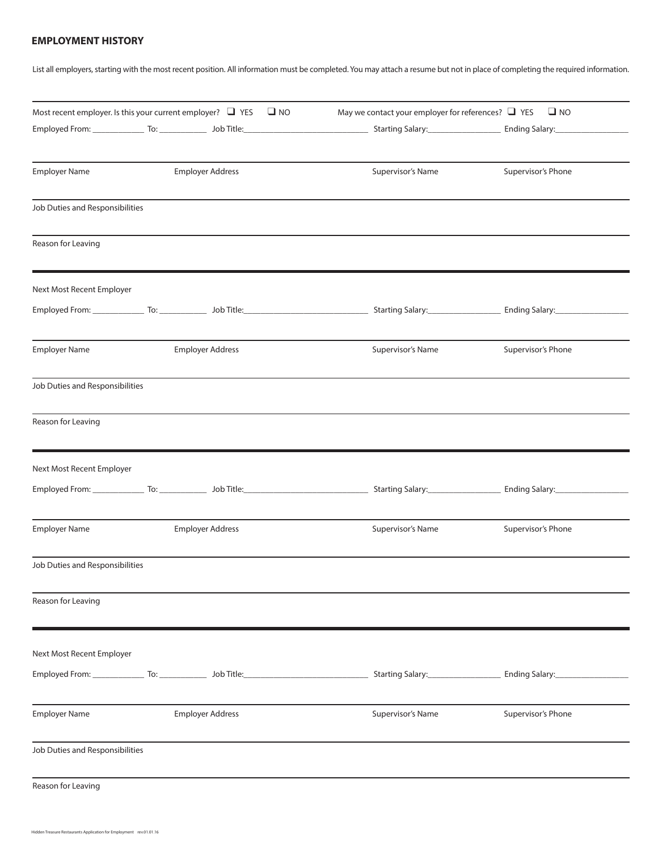## **EMPLOYMENT HISTORY**

List all employers, starting with the most recent position. All information must be completed. You may attach a resume but not in place of completing the required information.

| Most recent employer. Is this your current employer? $\Box$ YES $\Box$ NO |                         | May we contact your employer for references? $\Box$ YES<br>Employed From: Community To: Community Job Title: Community Salarty: Community Salary: Community Community To: Community Job Title: Community Salary: Community Salary: Community Salary: Community Salary: Community Salary: | $\Box$ NO                     |
|---------------------------------------------------------------------------|-------------------------|------------------------------------------------------------------------------------------------------------------------------------------------------------------------------------------------------------------------------------------------------------------------------------------|-------------------------------|
| <b>Employer Name</b>                                                      | <b>Employer Address</b> | Supervisor's Name                                                                                                                                                                                                                                                                        | Supervisor's Phone            |
| Job Duties and Responsibilities                                           |                         |                                                                                                                                                                                                                                                                                          |                               |
| Reason for Leaving                                                        |                         |                                                                                                                                                                                                                                                                                          |                               |
| Next Most Recent Employer                                                 |                         |                                                                                                                                                                                                                                                                                          |                               |
|                                                                           |                         | Employed From: To: The Commission of the Commission of the Commission of the Commission of the Commission of the Commission of the Commission of the Commission of the Commission of the Commission of the Commission of the C                                                           |                               |
| <b>Employer Name</b>                                                      | <b>Employer Address</b> | Supervisor's Name                                                                                                                                                                                                                                                                        | Supervisor's Phone            |
| Job Duties and Responsibilities                                           |                         |                                                                                                                                                                                                                                                                                          |                               |
| Reason for Leaving                                                        |                         |                                                                                                                                                                                                                                                                                          |                               |
| Next Most Recent Employer                                                 |                         |                                                                                                                                                                                                                                                                                          |                               |
|                                                                           |                         |                                                                                                                                                                                                                                                                                          | Ending Salary:_______________ |
| <b>Employer Name</b>                                                      | <b>Employer Address</b> | Supervisor's Name                                                                                                                                                                                                                                                                        | Supervisor's Phone            |
| Job Duties and Responsibilities                                           |                         |                                                                                                                                                                                                                                                                                          |                               |
| Reason for Leaving                                                        |                         |                                                                                                                                                                                                                                                                                          |                               |
| Next Most Recent Employer                                                 |                         |                                                                                                                                                                                                                                                                                          |                               |
|                                                                           |                         | Employed From: Call Transformation Communication Communication Communication Communication Communication Commun                                                                                                                                                                          |                               |
| <b>Employer Name</b>                                                      | <b>Employer Address</b> | Supervisor's Name                                                                                                                                                                                                                                                                        | Supervisor's Phone            |
| Job Duties and Responsibilities                                           |                         |                                                                                                                                                                                                                                                                                          |                               |
| Reason for Leaving                                                        |                         |                                                                                                                                                                                                                                                                                          |                               |